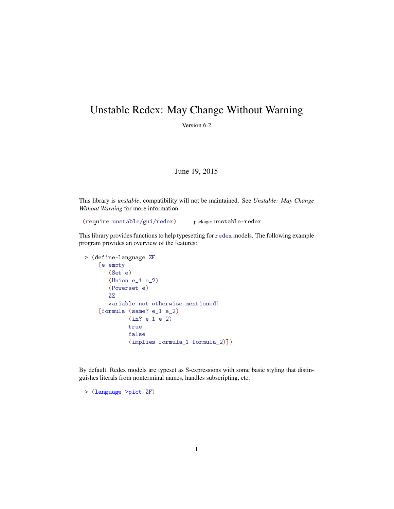## Unstable Redex: May Change Without Warning

Version 6.2

## June 19, 2015

This library is *unstable*; compatibility will not be maintained. See *Unstable: May Change Without Warning* for more information.

(require unstable/gui/redex) package: unstable-redex

This library provides functions to help typesetting for redex models. The following example program provides an overview of the features:

```
> (define-language ZF
    [e empty
       (Set e)
       (Union e_1 e_2)
       (Powerset e)
       ZZ
       variable-not-otherwise-mentioned]
    [formula (same? e_1 e_2)
             (in? e_1 e_2)
             true
             false
             (implies formula_1 formula_2)])
```
By default, Redex models are typeset as S-expressions with some basic styling that distinguishes literals from nonterminal names, handles subscripting, etc.

> (language->pict ZF)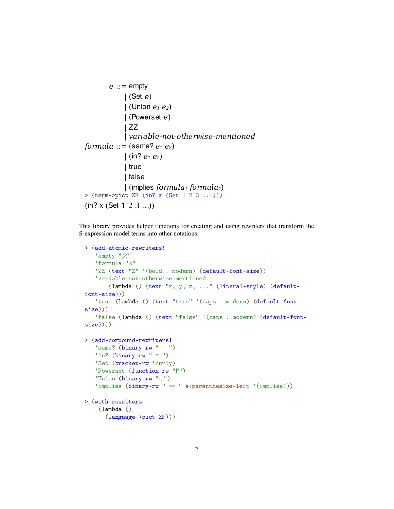```
e :: = empty
             | (Set e)
            \vert (Union e_1 e_2)
             | (Powerset e)
             | ZZ
             | variable-not-otherwise-mentioned
formula ::= (same? e_1 e_2)
            | (in? e_1 e_2)
              | true
             | false
             | (implies formula1 formula2)
> (term->pict ZF (in? x (Set 1 2 3 ...)))
(in? x (Set 1 2 3 ...)
```
This library provides helper functions for creating and using rewriters that transform the S-expression model terms into other notations.

```
> (add-atomic-rewriters!
   'empty "\varnothing"
   'formula "\phi"
   'ZZ (text "Z" '(bold . modern) (default-font-size))
   'variable-not-otherwise-mentioned
       (lambda () (text "x, y, z, ..." (literal-style) (default-
font-size)))
   'true (lambda () (text "true" '(caps . modern) (default-font-
size)))
   'false (lambda () (text "false" '(caps . modern) (default-font-
size))))
> (add-compound-rewriters!
   'same? (binary-rw " = ")
   'in? (binary-rw " \in ")
   'Set (bracket-rw 'curly)
   'Powerset (function-rw "P")
   'Union (binary-rw "U")'implies (binary-rw " \Rightarrow " #:parenthesize-left '(implies)))
> (with-rewriters
    (lambda ()
      (language->pict ZF)))
```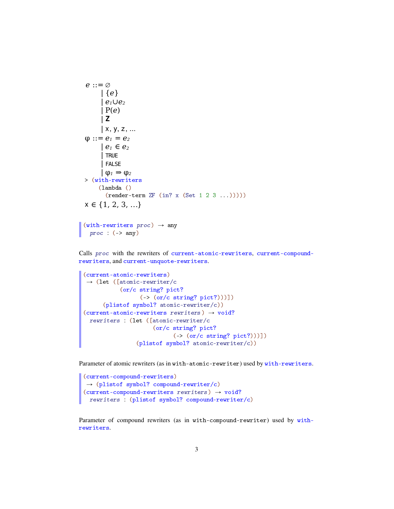```
e ::= ∅
     | {e}
       | e1∪e2
       | P(e)
       | Z
     | x, y, z, ...φ ::= e_1 = e_2 | e1 ∈ e2
       | TRUE
       | FALSE
      \phi_1 \Rightarrow \phi_2> (with-rewriters
     (lambda ()
       (render-term ZF (in? x (Set 1 2 3 ...))))x \in \{1, 2, 3, \ldots\}
```

```
(with-rewriters proc) \rightarrow anyproc : (-> any)
```
Calls proc with the rewriters of current-atomic-rewriters, current-compoundrewriters, and current-unquote-rewriters.

```
(current-atomic-rewriters)
\rightarrow (let ([atomic-rewriter/c
           (or/c string? pict?
                 (-> (or/c string? pict?)))])
      (plistof symbol? atomic-rewriter/c))
(current-atomic-rewrites\; rewriting) \rightarrow void?rewriters : (let ([atomic-rewriter/c
                      (or/c string? pict?
                            (-> (or/c string? pict?)))])
                 (plistof symbol? atomic-rewriter/c))
```
Parameter of atomic rewriters (as in with-atomic-rewriter) used by with-rewriters.

```
(current-compound-rewriters)
\rightarrow (plistof symbol? compound-rewriter/c)
(current-compound-rewriters\hspace{0.1cm}rewriters) \rightarrow void?rewriters : (plistof symbol? compound-rewriter/c)
```
Parameter of compound rewriters (as in with-compound-rewriter) used by withrewriters.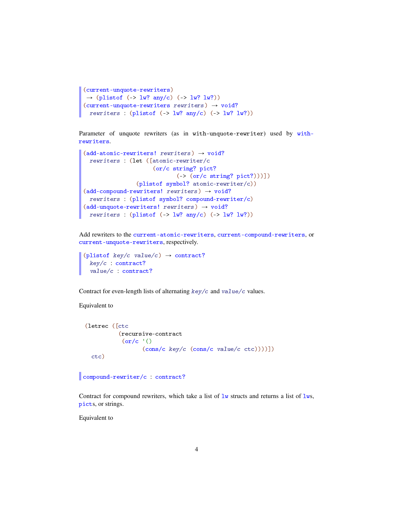```
(current-unquote-rewriters)
\rightarrow (plistof (-> lw? any/c) (-> lw? lw?))
(current-unquote-rewriters\;rewrites) \rightarrow void?
 rewriters : (plistof (-> lw? any/c) (-> lw? lw?)
```
Parameter of unquote rewriters (as in with-unquote-rewriter) used by withrewriters.

```
(add-atomic-rewriters! rewrites) \rightarrow void?rewriters : (let ([atomic-rewriter/c
                        (or/c string? pict?
                                (-> (or/c string? pict?)))])
                  (plistof symbol? atomic-rewriter/c))
(add-compound-rewriters! rewrites) \rightarrow void?rewriters : (plistof symbol? compound-rewriter/c)
(add-unquote-rewriters! rewrites) \rightarrow void?rewriters : (\text{plistof } (\text{-- } 1w? \text{ any}/c) (\text{-- } 1w? \text{ lw?}))
```
Add rewriters to the current-atomic-rewriters, current-compound-rewriters, or current-unquote-rewriters, respectively.

```
(plistof key/c value/c) \rightarrow contract?
  key/c : contract?
  value/c : contract?
```
Contract for even-length lists of alternating  $key/c$  and  $value/c$  values.

## Equivalent to

```
(letrec ([ctc
          (recursive-contract
           (or/c '()
                 (cons/c key/c (cons/c value/c ctc))))])
  ctc)
```
compound-rewriter/c : contract?

Contract for compound rewriters, which take a list of  $1w$  structs and returns a list of  $1ws$ , picts, or strings.

Equivalent to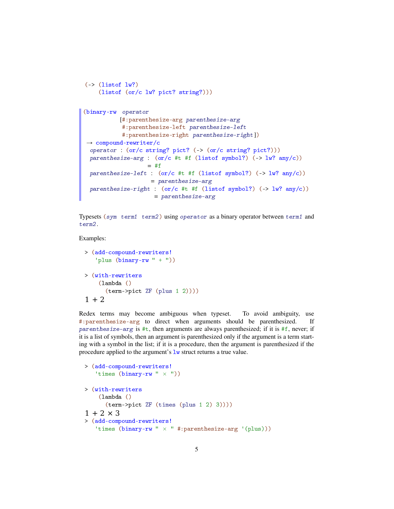```
(\rightarrow (listof lw?)
    (listof (or/c lw? pict? string?)))
(binary-rw operator
           [#:parenthesize-arg parenthesize-arg
           #:parenthesize-left parenthesize-left
           #:parenthesize-right parenthesize-right])
\rightarrow compound-rewriter/c
 operator : (or/c string? pict? (-> (or/c string? pict?)))
 parenthesize-arg : (or/c #t #f (listof symbol?) (-> lw? any/c))
                   = #f
 parenthesize-left : (or/c #t #f (listof symbol?) (-> lw? any/c))
                    = parenthesize-arg
 parenthesize-right : (or/c #t #f (listof symbol?) (-> lw? any/c))
                     = parenthesize-arg
```
Typesets (sym term1 term2) using operator as a binary operator between term1 and term2.

## Examples:

```
> (add-compound-rewriters!
   'plus (binary-rw " + "))
> (with-rewriters
    (lambda ()
      (term->pict ZF (plus 1 2))))
1 + 2
```
Redex terms may become ambiguous when typeset. To avoid ambiguity, use #:parenthesize-arg to direct when arguments should be parenthesized. If parenthesize-arg is  $\#t$ , then arguments are always parenthesized; if it is  $\#f$ , never; if it is a list of symbols, then an argument is parenthesized only if the argument is a term starting with a symbol in the list; if it is a procedure, then the argument is parenthesized if the procedure applied to the argument's  $1w$  struct returns a true value.

```
> (add-compound-rewriters!
   'times (binary-rw " x"))
> (with-rewriters
    (lambda ()
      (term->pict ZF (times (plus 1 2) 3))))
1 + 2 \times 3> (add-compound-rewriters!
   'times (binary-rw " \times " #:parenthesize-arg '(plus)))
```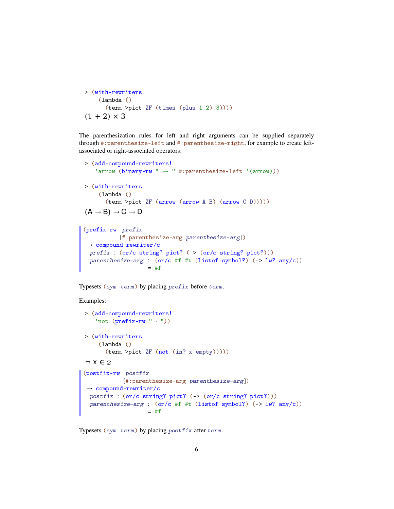```
> (with-rewriters
    (lambda ()
      (term->pict ZF (times (plus 1 2) 3))))
(1 + 2) \times 3
```
The parenthesization rules for left and right arguments can be supplied separately through #:parenthesize-left and #:parenthesize-right, for example to create leftassociated or right-associated operators:

```
> (add-compound-rewriters!
    'arrow (binary-rw " \rightarrow " #:parenthesize-left '(arrow)))
> (with-rewriters
     (lambda ()
       (term->pict ZF (arrow (arrow A B) (arrow C D)))))
(A \rightarrow B) \rightarrow C \rightarrow D(prefix-rw prefix
            [#:parenthesize-arg parenthesize-arg])
\rightarrow compound-rewriter/c
 prefix : (or/c string? pict? (-> (or/c string? pict?)))
 parenthesize-arg : (or/c #f #t (listof symbol?) (-> lw? any/c))
                     = #f
```
Typesets (sym term) by placing prefix before term.

Examples:

```
> (add-compound-rewriters!
    'not (prefix-rw " -")> (with-rewriters
    (lambda ()
      (term->pict ZF (not (in? x empty)))))
\neg x \in \varnothing(postfix-rw postfix
            [#:parenthesize-arg parenthesize-arg])
 \rightarrow compound-rewriter/c
 postfix : (or/c string? pict? (-> (or/c string? pict?)))
 parenthesize-arg : (or/c #f #t (listof symbol?) (-> lw? any/c))
                    = #f
```
Typesets (sym term) by placing postfix after term.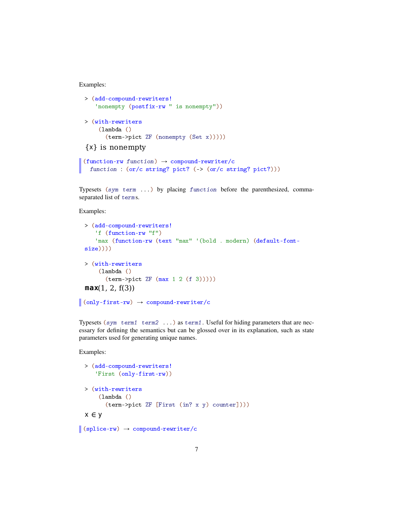Examples:

```
> (add-compound-rewriters!
    'nonempty (postfix-rw " is nonempty"))
> (with-rewriters
     (lambda ()
       (term->pict ZF (nonempty (Set x)))))
{x} is nonempty
(function-rw function) \rightarrow compound-rewriter/c
  function : (or/c \text{ string? pict? } (-) (or/c \text{ string? pict?})))
```
Typesets (sym term ...) by placing function before the parenthesized, commaseparated list of terms.

Examples:

```
> (add-compound-rewriters!
     'f (function-rw "f")
     'max (function-rw (text "max" '(bold . modern) (default-font-
 size))))
 > (with-rewriters
      (lambda ()
        (\text{term-|} 2 f \left( \max 1 2 (f 3)) \right))max(1, 2, f(3))
\vert (only-first-rw) \rightarrow compound-rewriter/c
```
Typesets (sym term1 term2 ...) as term1. Useful for hiding parameters that are necessary for defining the semantics but can be glossed over in its explanation, such as state parameters used for generating unique names.

Examples:

```
> (add-compound-rewriters!
   'First (only-first-rw))
> (with-rewriters
    (lambda ()
      (term->pict ZF [First (in? x y) counter])))
x ∈ y
```

```
\vert (splice-rw) \rightarrow compound-rewriter/c
```